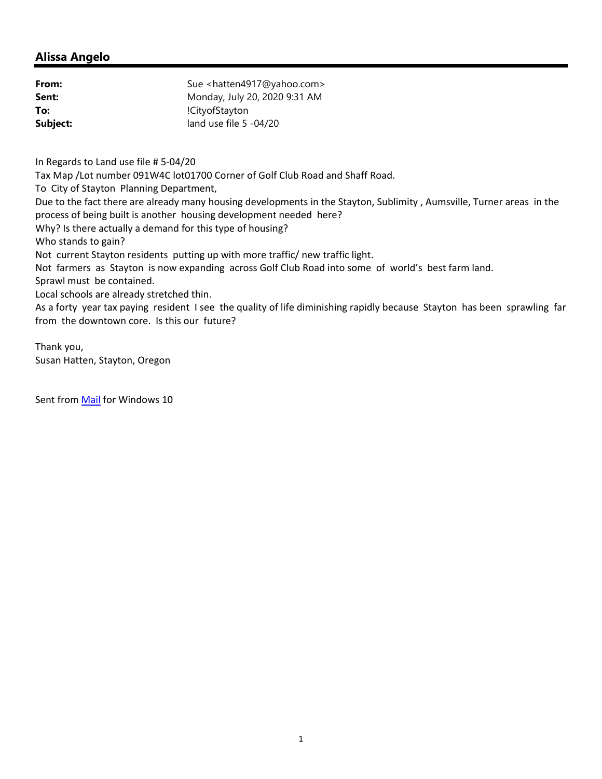## **Alissa Angelo**

| Sue <hatten4917@yahoo.com></hatten4917@yahoo.com> |
|---------------------------------------------------|
| Monday, July 20, 2020 9:31 AM                     |
| !CityofStayton                                    |
| land use file $5 -04/20$                          |
|                                                   |

In Regards to Land use file # 5‐04/20

Tax Map /Lot number 091W4C lot01700 Corner of Golf Club Road and Shaff Road.

To City of Stayton Planning Department,

Due to the fact there are already many housing developments in the Stayton, Sublimity , Aumsville, Turner areas in the process of being built is another housing development needed here?

Why? Is there actually a demand for this type of housing?

Who stands to gain?

Not current Stayton residents putting up with more traffic/ new traffic light.

Not farmers as Stayton is now expanding across Golf Club Road into some of world's best farm land.

Sprawl must be contained.

Local schools are already stretched thin.

As a forty year tax paying resident I see the quality of life diminishing rapidly because Stayton has been sprawling far from the downtown core. Is this our future?

Thank you, Susan Hatten, Stayton, Oregon

Sent from Mail for Windows 10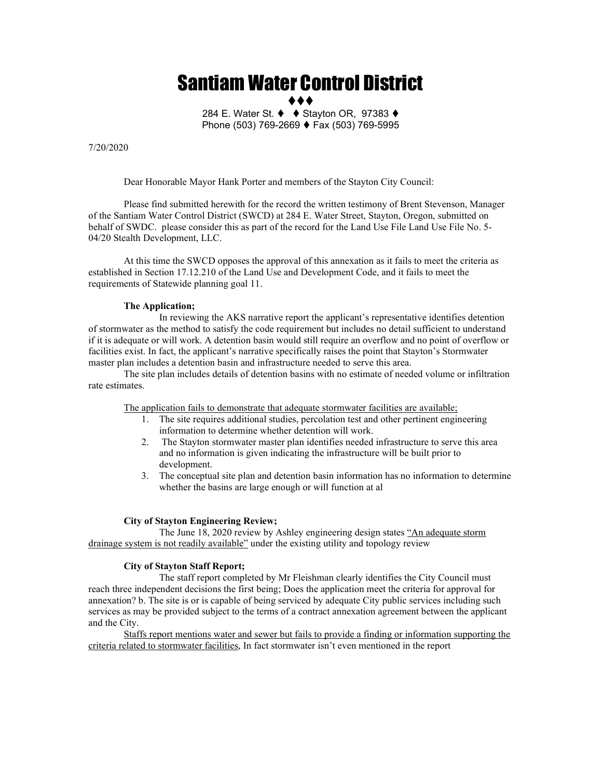# Santiam Water Control District

◆◆◆

284 E. Water St. ♦ ♦ Stayton OR, 97383 ♦ Phone (503) 769-2669 ♦ Fax (503) 769-5995

7/20/2020

Dear Honorable Mayor Hank Porter and members of the Stayton City Council:

Please find submitted herewith for the record the written testimony of Brent Stevenson, Manager of the Santiam Water Control District (SWCD) at 284 E. Water Street, Stayton, Oregon, submitted on behalf of SWDC. please consider this as part of the record for the Land Use File Land Use File No. 5- 04/20 Stealth Development, LLC.

At this time the SWCD opposes the approval of this annexation as it fails to meet the criteria as established in Section 17.12.210 of the Land Use and Development Code, and it fails to meet the requirements of Statewide planning goal 11.

#### The Application;

In reviewing the AKS narrative report the applicant's representative identifies detention of stormwater as the method to satisfy the code requirement but includes no detail sufficient to understand if it is adequate or will work. A detention basin would still require an overflow and no point of overflow or facilities exist. In fact, the applicant's narrative specifically raises the point that Stayton's Stormwater master plan includes a detention basin and infrastructure needed to serve this area.

The site plan includes details of detention basins with no estimate of needed volume or infiltration rate estimates.

The application fails to demonstrate that adequate stormwater facilities are available;

- 1. The site requires additional studies, percolation test and other pertinent engineering information to determine whether detention will work.
- 2. The Stayton stormwater master plan identifies needed infrastructure to serve this area and no information is given indicating the infrastructure will be built prior to development.
- 3. The conceptual site plan and detention basin information has no information to determine whether the basins are large enough or will function at al

#### City of Stayton Engineering Review;

The June 18, 2020 review by Ashley engineering design states "An adequate storm drainage system is not readily available" under the existing utility and topology review

#### City of Stayton Staff Report;

The staff report completed by Mr Fleishman clearly identifies the City Council must reach three independent decisions the first being; Does the application meet the criteria for approval for annexation? b. The site is or is capable of being serviced by adequate City public services including such services as may be provided subject to the terms of a contract annexation agreement between the applicant and the City.

Staffs report mentions water and sewer but fails to provide a finding or information supporting the criteria related to stormwater facilities, In fact stormwater isn't even mentioned in the report